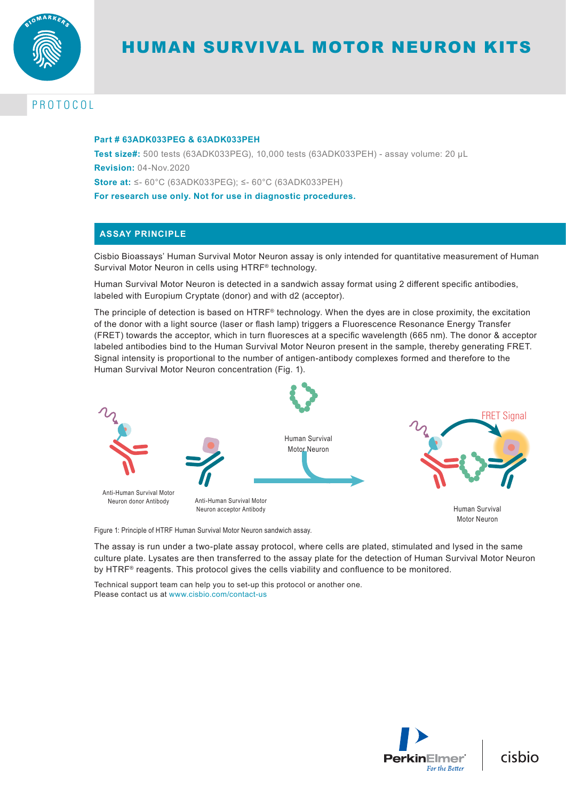

# HUMAN SURVIVAL MOTOR NEURON KITS

# PROTOCOL

### **Part # 63ADK033PEG & 63ADK033PEH**

**Test size#:** 500 tests (63ADK033PEG), 10,000 tests (63ADK033PEH) - assay volume: 20 µL **Revision:** 04-Nov.2020 **Store at:** ≤- 60°C (63ADK033PEG); ≤- 60°C (63ADK033PEH) **For research use only. Not for use in diagnostic procedures.**

# **ASSAY PRINCIPLE**

Cisbio Bioassays' Human Survival Motor Neuron assay is only intended for quantitative measurement of Human Survival Motor Neuron in cells using HTRF® technology.

Human Survival Motor Neuron is detected in a sandwich assay format using 2 different specific antibodies, labeled with Europium Cryptate (donor) and with d2 (acceptor).

The principle of detection is based on HTRF® technology. When the dyes are in close proximity, the excitation of the donor with a light source (laser or flash lamp) triggers a Fluorescence Resonance Energy Transfer (FRET) towards the acceptor, which in turn fluoresces at a specific wavelength (665 nm). The donor & acceptor labeled antibodies bind to the Human Survival Motor Neuron present in the sample, thereby generating FRET. Signal intensity is proportional to the number of antigen-antibody complexes formed and therefore to the Human Survival Motor Neuron concentration (Fig. 1).



Figure 1: Principle of HTRF Human Survival Motor Neuron sandwich assay.

The assay is run under a two-plate assay protocol, where cells are plated, stimulated and lysed in the same culture plate. Lysates are then transferred to the assay plate for the detection of Human Survival Motor Neuron by HTRF® reagents. This protocol gives the cells viability and confluence to be monitored.

Technical support team can help you to set-up this protocol or another one. Please contact us at www.cisbio.com/contact-us



cisbio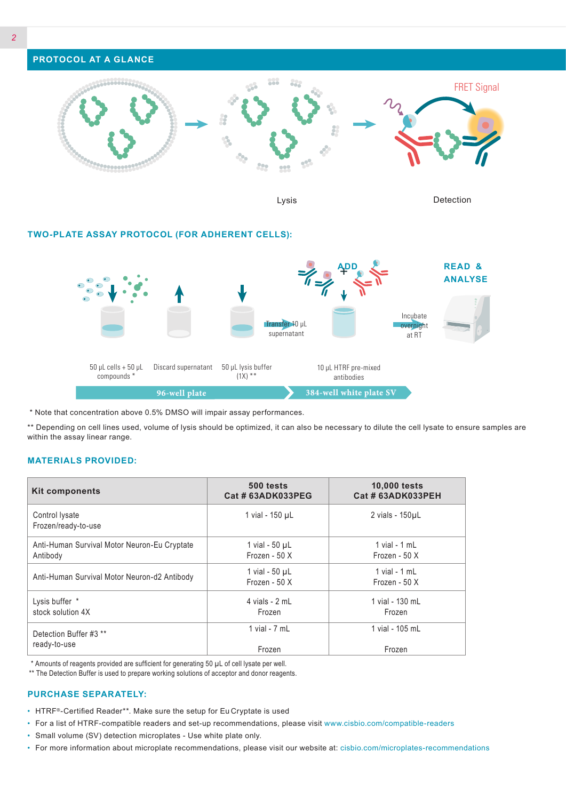

Lysis Detection

## **TWO-PLATE ASSAY PROTOCOL (FOR ADHERENT CELLS):**



\* Note that concentration above 0.5% DMSO will impair assay performances.

\*\* Depending on cell lines used, volume of lysis should be optimized, it can also be necessary to dilute the cell lysate to ensure samples are within the assay linear range.

#### **MATERIALS PROVIDED:**

| <b>Kit components</b>                        | 500 tests<br>Cat # 63ADK033PEG       | <b>10,000 tests</b><br>Cat # 63ADK033PEH |
|----------------------------------------------|--------------------------------------|------------------------------------------|
| Control lysate<br>Frozen/ready-to-use        | 1 vial - 150 µL                      | 2 vials - 150µL                          |
| Anti-Human Survival Motor Neuron-Eu Cryptate | 1 vial - $50 \mu L$                  | $1$ vial - $1$ mL                        |
| Antibody                                     | Frozen - 50 X                        | Frozen - 50 X                            |
| Anti-Human Survival Motor Neuron-d2 Antibody | 1 vial - $50 \mu L$<br>Frozen - 50 X | $1$ vial - $1$ mL<br>Frozen - 50 X       |
| Lysis buffer *                               | 4 vials - 2 mL                       | 1 vial - 130 mL                          |
| stock solution 4X                            | Frozen                               | Frozen                                   |
| Detection Buffer #3 **                       | 1 vial - $7$ mL                      | 1 vial - 105 mL                          |
| ready-to-use                                 | Frozen                               | Frozen                                   |

\* Amounts of reagents provided are sufficient for generating 50 µL of cell lysate per well.

\*\* The Detection Buffer is used to prepare working solutions of acceptor and donor reagents.

## **PURCHASE SEPARATELY:**

- HTRF®-Certified Reader\*\*. Make sure the setup for Eu Cryptate is used
- For a list of HTRF-compatible readers and set-up recommendations, please visit www.cisbio.com/compatible-readers
- Small volume (SV) detection microplates Use white plate only.
- For more information about microplate recommendations, please visit our website at: cisbio.com/microplates-recommendations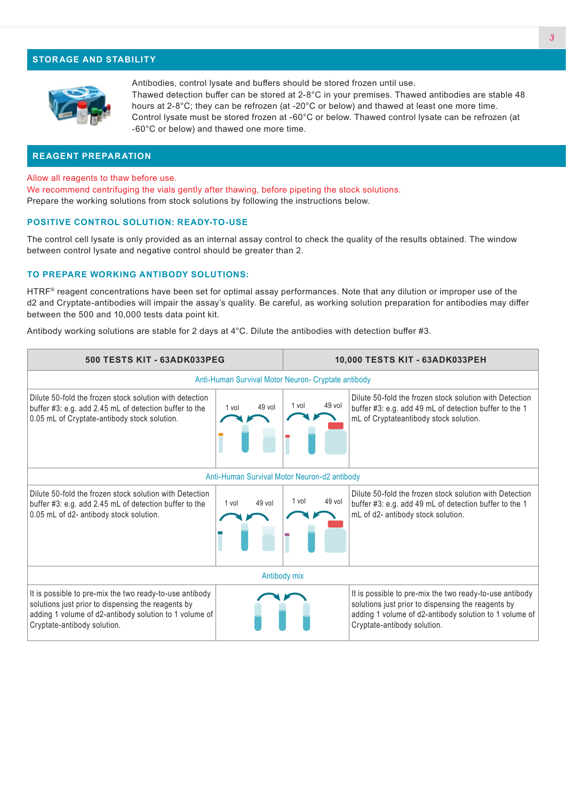## **STORAGE AND STABILITY**



Antibodies, control lysate and buffers should be stored frozen until use. Thawed detection buffer can be stored at 2-8°C in your premises. Thawed antibodies are stable 48 hours at 2-8°C; they can be refrozen (at -20°C or below) and thawed at least one more time. Control lysate must be stored frozen at -60°C or below. Thawed control lysate can be refrozen (at -60°C or below) and thawed one more time.

### **REAGENT PREPARATION**

Allow all reagents to thaw before use.

We recommend centrifuging the vials gently after thawing, before pipeting the stock solutions. Prepare the working solutions from stock solutions by following the instructions below.

#### **POSITIVE CONTROL SOLUTION: READY-TO-USE**

The control cell lysate is only provided as an internal assay control to check the quality of the results obtained. The window between control lysate and negative control should be greater than 2.

#### **TO PREPARE WORKING ANTIBODY SOLUTIONS:**

HTRF® reagent concentrations have been set for optimal assay performances. Note that any dilution or improper use of the d2 and Cryptate-antibodies will impair the assay's quality. Be careful, as working solution preparation for antibodies may differ between the 500 and 10,000 tests data point kit.

Antibody working solutions are stable for 2 days at 4°C. Dilute the antibodies with detection buffer #3.

| <b>500 TESTS KIT - 63ADK033PEG</b>                                                                                                                                                                     |                 | 10,000 TESTS KIT - 63ADK033PEH |                                                                                                                                                                                                        |  |
|--------------------------------------------------------------------------------------------------------------------------------------------------------------------------------------------------------|-----------------|--------------------------------|--------------------------------------------------------------------------------------------------------------------------------------------------------------------------------------------------------|--|
| Anti-Human Survival Motor Neuron- Cryptate antibody                                                                                                                                                    |                 |                                |                                                                                                                                                                                                        |  |
| Dilute 50-fold the frozen stock solution with detection<br>buffer #3: e.g. add 2.45 mL of detection buffer to the<br>0.05 mL of Cryptate-antibody stock solution.                                      | 49 vol<br>1 vol | 49 vol<br>1 vol                | Dilute 50-fold the frozen stock solution with Detection<br>buffer #3: e.g. add 49 mL of detection buffer to the 1<br>mL of Cryptateantibody stock solution.                                            |  |
| Anti-Human Survival Motor Neuron-d2 antibody                                                                                                                                                           |                 |                                |                                                                                                                                                                                                        |  |
| Dilute 50-fold the frozen stock solution with Detection<br>buffer #3: e.g. add 2.45 mL of detection buffer to the<br>0.05 mL of d2- antibody stock solution.                                           | 49 vol<br>1 vol | 49 vol<br>1 vol                | Dilute 50-fold the frozen stock solution with Detection<br>buffer #3: e.g. add 49 mL of detection buffer to the 1<br>mL of d2- antibody stock solution.                                                |  |
| Antibody mix                                                                                                                                                                                           |                 |                                |                                                                                                                                                                                                        |  |
| It is possible to pre-mix the two ready-to-use antibody<br>solutions just prior to dispensing the reagents by<br>adding 1 volume of d2-antibody solution to 1 volume of<br>Cryptate-antibody solution. |                 |                                | It is possible to pre-mix the two ready-to-use antibody<br>solutions just prior to dispensing the reagents by<br>adding 1 volume of d2-antibody solution to 1 volume of<br>Cryptate-antibody solution. |  |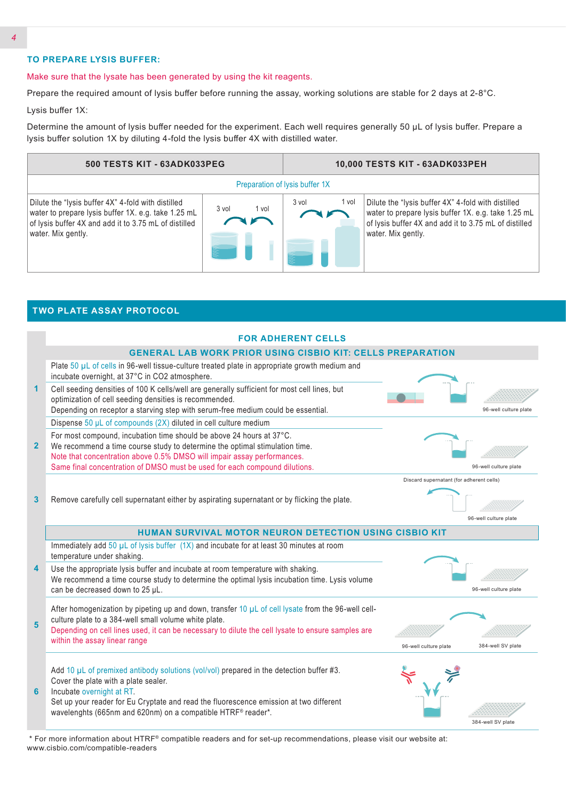## **TO PREPARE LYSIS BUFFER:**

**TWO PLATE ASSAY PROTOCOL**

#### Make sure that the lysate has been generated by using the kit reagents.

Prepare the required amount of lysis buffer before running the assay, working solutions are stable for 2 days at 2-8°C.

Lysis buffer 1X:

Determine the amount of lysis buffer needed for the experiment. Each well requires generally 50 µL of lysis buffer. Prepare a lysis buffer solution 1X by diluting 4-fold the lysis buffer 4X with distilled water.



| incubate overnight, at 37°C in CO2 atmosphere.<br>1<br>optimization of cell seeding densities is recommended.<br>2 <sup>2</sup><br>3                                                                                             | <b>FOR ADHERENT CELLS</b><br><b>GENERAL LAB WORK PRIOR USING CISBIO KIT: CELLS PREPARATION</b><br>Plate 50 µL of cells in 96-well tissue-culture treated plate in appropriate growth medium and<br>Cell seeding densities of 100 K cells/well are generally sufficient for most cell lines, but<br>Depending on receptor a starving step with serum-free medium could be essential.<br>Dispense 50 µL of compounds (2X) diluted in cell culture medium<br>For most compound, incubation time should be above 24 hours at 37°C.<br>We recommend a time course study to determine the optimal stimulation time.<br>Note that concentration above 0.5% DMSO will impair assay performances. | 96-well culture plate                      |
|----------------------------------------------------------------------------------------------------------------------------------------------------------------------------------------------------------------------------------|------------------------------------------------------------------------------------------------------------------------------------------------------------------------------------------------------------------------------------------------------------------------------------------------------------------------------------------------------------------------------------------------------------------------------------------------------------------------------------------------------------------------------------------------------------------------------------------------------------------------------------------------------------------------------------------|--------------------------------------------|
|                                                                                                                                                                                                                                  |                                                                                                                                                                                                                                                                                                                                                                                                                                                                                                                                                                                                                                                                                          |                                            |
|                                                                                                                                                                                                                                  |                                                                                                                                                                                                                                                                                                                                                                                                                                                                                                                                                                                                                                                                                          |                                            |
|                                                                                                                                                                                                                                  |                                                                                                                                                                                                                                                                                                                                                                                                                                                                                                                                                                                                                                                                                          |                                            |
|                                                                                                                                                                                                                                  |                                                                                                                                                                                                                                                                                                                                                                                                                                                                                                                                                                                                                                                                                          |                                            |
|                                                                                                                                                                                                                                  |                                                                                                                                                                                                                                                                                                                                                                                                                                                                                                                                                                                                                                                                                          |                                            |
|                                                                                                                                                                                                                                  |                                                                                                                                                                                                                                                                                                                                                                                                                                                                                                                                                                                                                                                                                          |                                            |
|                                                                                                                                                                                                                                  |                                                                                                                                                                                                                                                                                                                                                                                                                                                                                                                                                                                                                                                                                          |                                            |
|                                                                                                                                                                                                                                  |                                                                                                                                                                                                                                                                                                                                                                                                                                                                                                                                                                                                                                                                                          |                                            |
|                                                                                                                                                                                                                                  | Same final concentration of DMSO must be used for each compound dilutions.                                                                                                                                                                                                                                                                                                                                                                                                                                                                                                                                                                                                               | 96-well culture plate                      |
|                                                                                                                                                                                                                                  |                                                                                                                                                                                                                                                                                                                                                                                                                                                                                                                                                                                                                                                                                          | Discard supernatant (for adherent cells)   |
|                                                                                                                                                                                                                                  | Remove carefully cell supernatant either by aspirating supernatant or by flicking the plate.                                                                                                                                                                                                                                                                                                                                                                                                                                                                                                                                                                                             | 96-well culture plate                      |
|                                                                                                                                                                                                                                  | <b>HUMAN SURVIVAL MOTOR NEURON DETECTION USING CISBIO KIT</b>                                                                                                                                                                                                                                                                                                                                                                                                                                                                                                                                                                                                                            |                                            |
| temperature under shaking.                                                                                                                                                                                                       | Immediately add $50 \mu L$ of lysis buffer $(1X)$ and incubate for at least 30 minutes at room                                                                                                                                                                                                                                                                                                                                                                                                                                                                                                                                                                                           |                                            |
| 4<br>can be decreased down to 25 µL.                                                                                                                                                                                             | Use the appropriate lysis buffer and incubate at room temperature with shaking.<br>We recommend a time course study to determine the optimal lysis incubation time. Lysis volume                                                                                                                                                                                                                                                                                                                                                                                                                                                                                                         | 96-well culture plate                      |
| culture plate to a 384-well small volume white plate.<br>5                                                                                                                                                                       | After homogenization by pipeting up and down, transfer 10 $\mu$ L of cell lysate from the 96-well cell-<br>Depending on cell lines used, it can be necessary to dilute the cell lysate to ensure samples are                                                                                                                                                                                                                                                                                                                                                                                                                                                                             |                                            |
| within the assay linear range                                                                                                                                                                                                    |                                                                                                                                                                                                                                                                                                                                                                                                                                                                                                                                                                                                                                                                                          | 96-well culture plate<br>384-well SV plate |
|                                                                                                                                                                                                                                  |                                                                                                                                                                                                                                                                                                                                                                                                                                                                                                                                                                                                                                                                                          |                                            |
| Cover the plate with a plate sealer.<br>Incubate overnight at RT.<br>6<br>Set up your reader for Eu Cryptate and read the fluorescence emission at two different<br>wavelenghts (665nm and 620nm) on a compatible HTRF® reader*. | Add 10 $\mu$ L of premixed antibody solutions (vol/vol) prepared in the detection buffer #3.                                                                                                                                                                                                                                                                                                                                                                                                                                                                                                                                                                                             |                                            |

 \* For more information about HTRF® compatible readers and for set-up recommendations, please visit our website at: www.cisbio.com/compatible-readers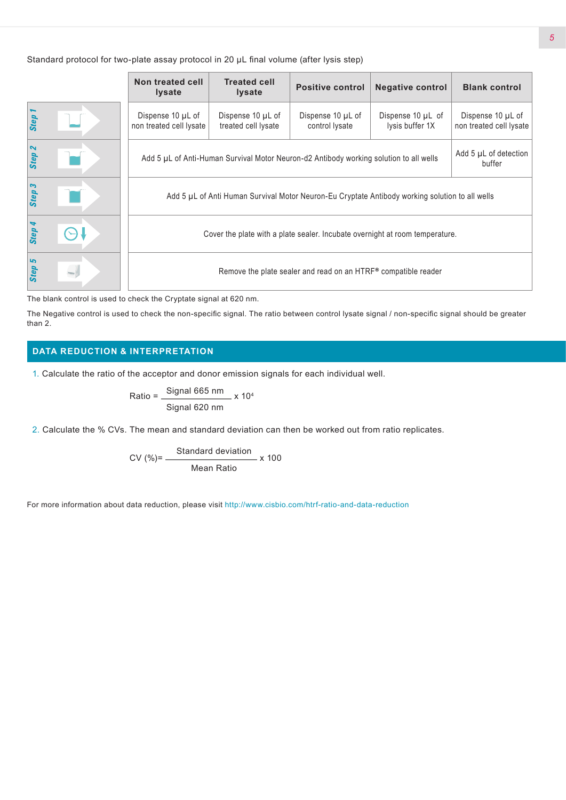Standard protocol for two-plate assay protocol in 20 µL final volume (after lysis step)

|        | Non treated cell<br><b>Iysate</b>                                                                                         | <b>Treated cell</b><br><b>Iysate</b>     | <b>Positive control</b>             | <b>Negative control</b>                   | <b>Blank control</b>                         |
|--------|---------------------------------------------------------------------------------------------------------------------------|------------------------------------------|-------------------------------------|-------------------------------------------|----------------------------------------------|
| Step 1 | Dispense 10 µL of<br>non treated cell lysate                                                                              | Dispense 10 µL of<br>treated cell lysate | Dispense 10 µL of<br>control lysate | Dispense $10 \mu L$ of<br>lysis buffer 1X | Dispense 10 µL of<br>non treated cell lysate |
| Step 2 | Add 5 µL of detection<br>Add 5 µL of Anti-Human Survival Motor Neuron-d2 Antibody working solution to all wells<br>buffer |                                          |                                     |                                           |                                              |
| Step 3 | Add 5 µL of Anti Human Survival Motor Neuron-Eu Cryptate Antibody working solution to all wells                           |                                          |                                     |                                           |                                              |
| Step 4 | Cover the plate with a plate sealer. Incubate overnight at room temperature.                                              |                                          |                                     |                                           |                                              |
| Step 5 | Remove the plate sealer and read on an HTRF® compatible reader                                                            |                                          |                                     |                                           |                                              |

The blank control is used to check the Cryptate signal at 620 nm.

The Negative control is used to check the non-specific signal. The ratio between control lysate signal / non-specific signal should be greater than 2.

# **DATA REDUCTION & INTERPRETATION**

1. Calculate the ratio of the acceptor and donor emission signals for each individual well.

Ratio = 
$$
\frac{\text{Signal 665 nm}}{\text{Signal 620 nm}} \times 10^4
$$

2. Calculate the % CVs. The mean and standard deviation can then be worked out from ratio replicates.

$$
CV (%) = \frac{Standard deviation}{Mean Ratio} \times 100
$$

For more information about data reduction, please visit http://www.cisbio.com/htrf-ratio-and-data-reduction